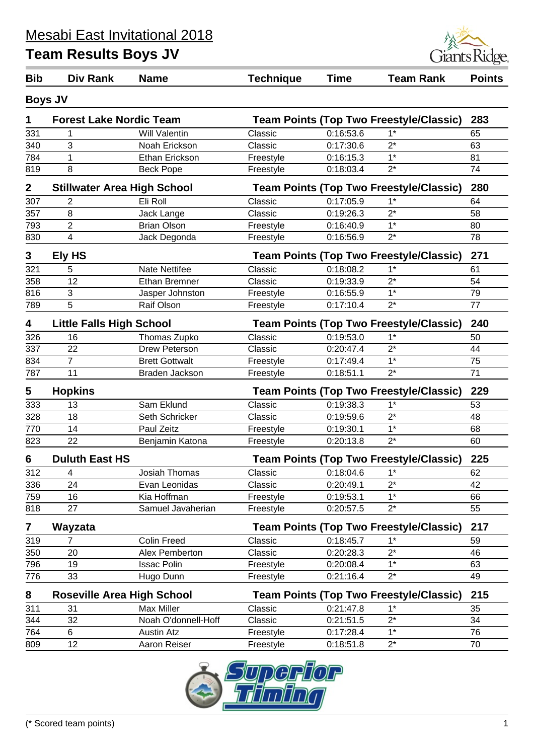

| <b>Bib</b>  | Div Rank                                                                         | <b>Name</b>                                    | <b>Technique</b>                                      | <b>Time</b> | <b>Team Rank</b>                               | <b>Points</b> |  |
|-------------|----------------------------------------------------------------------------------|------------------------------------------------|-------------------------------------------------------|-------------|------------------------------------------------|---------------|--|
|             | <b>Boys JV</b>                                                                   |                                                |                                                       |             |                                                |               |  |
| 1           | <b>Forest Lake Nordic Team</b><br><b>Team Points (Top Two Freestyle/Classic)</b> |                                                |                                                       | 283         |                                                |               |  |
| 331         | 1                                                                                | <b>Will Valentin</b>                           | Classic                                               | 0:16:53.6   | $1*$                                           | 65            |  |
| 340         | 3                                                                                | Noah Erickson                                  | Classic                                               | 0:17:30.6   | $2^*$                                          | 63            |  |
| 784         | 1                                                                                | Ethan Erickson                                 | Freestyle                                             | 0:16:15.3   | $1*$                                           | 81            |  |
| 819         | 8                                                                                | <b>Beck Pope</b>                               | Freestyle                                             | 0:18:03.4   | $2^*$                                          | 74            |  |
| $\mathbf 2$ | <b>Stillwater Area High School</b>                                               |                                                |                                                       |             | <b>Team Points (Top Two Freestyle/Classic)</b> | 280           |  |
| 307         | Classic<br>$1^*$<br>$\overline{2}$<br>Eli Roll<br>0:17:05.9                      |                                                |                                                       |             |                                                | 64            |  |
| 357         | 8                                                                                | Jack Lange                                     | Classic                                               | 0:19:26.3   | $2^*$                                          | 58            |  |
| 793         | $\overline{2}$                                                                   | <b>Brian Olson</b>                             | Freestyle                                             | 0:16:40.9   | $1*$                                           | 80            |  |
| 830         | 4                                                                                | Jack Degonda                                   | Freestyle                                             | 0:16:56.9   | $2^*$                                          | 78            |  |
| 3           | Ely HS                                                                           |                                                | <b>Team Points (Top Two Freestyle/Classic)</b><br>271 |             |                                                |               |  |
| 321         | 5                                                                                | <b>Nate Nettifee</b>                           | Classic                                               | 0:18:08.2   | $1*$                                           | 61            |  |
| 358         | 12                                                                               | <b>Ethan Bremner</b>                           | Classic                                               | 0:19:33.9   | $2^*$                                          | 54            |  |
| 816         | 3                                                                                | Jasper Johnston                                | Freestyle                                             | 0:16:55.9   | $1*$                                           | 79            |  |
| 789         | $\overline{5}$                                                                   | Raif Olson                                     | Freestyle                                             | 0:17:10.4   | $2^*$                                          | 77            |  |
|             |                                                                                  |                                                |                                                       |             |                                                |               |  |
| 4           | <b>Little Falls High School</b>                                                  | <b>Team Points (Top Two Freestyle/Classic)</b> |                                                       |             |                                                | 240           |  |
| 326         | 16                                                                               | Thomas Zupko                                   | Classic                                               | 0:19:53.0   | $1*$                                           | 50            |  |
| 337         | 22                                                                               | <b>Drew Peterson</b>                           | Classic                                               | 0:20:47.4   | $2^*$                                          | 44            |  |
| 834         | $\overline{7}$                                                                   | <b>Brett Gottwalt</b>                          | Freestyle                                             | 0:17:49.4   | $1*$                                           | 75            |  |
| 787         | 11                                                                               | Braden Jackson                                 | Freestyle                                             | 0:18:51.1   | $2^*$                                          | 71            |  |
| 5           | <b>Hopkins</b>                                                                   |                                                |                                                       |             | <b>Team Points (Top Two Freestyle/Classic)</b> | 229           |  |
| 333         | 13                                                                               | Sam Eklund                                     | Classic                                               | 0:19:38.3   | $1*$                                           | 53            |  |
| 328         | 18                                                                               | Seth Schricker                                 | Classic                                               | 0:19:59.6   | $2^*$                                          | 48            |  |
| 770         | 14                                                                               | Paul Zeitz                                     | Freestyle                                             | 0:19:30.1   | $\overline{1^*}$                               | 68            |  |
| 823         | 22                                                                               | Benjamin Katona                                | Freestyle                                             | 0:20:13.8   | $2^*$                                          | 60            |  |
| 6           | <b>Duluth East HS</b>                                                            | <b>Team Points (Top Two Freestyle/Classic)</b> |                                                       |             |                                                |               |  |
| 312         | 4                                                                                | Josiah Thomas                                  | Classic                                               | 0:18:04.6   | $1^*$                                          | 62            |  |
| 336         | 24                                                                               | Evan Leonidas                                  | Classic                                               | 0:20:49.1   | $2^*$                                          | 42            |  |
| 759         | 16                                                                               | Kia Hoffman                                    | Freestyle                                             | 0:19:53.1   | $1*$                                           | 66            |  |
| 818         | 27                                                                               | Samuel Javaherian                              | Freestyle                                             | 0:20:57.5   | $2^*$                                          | 55            |  |
| 7           | Wayzata                                                                          | <b>Team Points (Top Two Freestyle/Classic)</b> |                                                       |             |                                                | 217           |  |
| 319         | 7                                                                                | <b>Colin Freed</b>                             | Classic                                               | 0:18:45.7   | $1*$                                           | 59            |  |
| 350         | 20                                                                               | Alex Pemberton                                 | Classic                                               | 0:20:28.3   | $2^*$                                          | 46            |  |
| 796         | 19                                                                               | <b>Issac Polin</b>                             | Freestyle                                             | 0:20:08.4   | $1^*$                                          | 63            |  |
| 776         | 33                                                                               | Hugo Dunn                                      | Freestyle                                             | 0:21:16.4   | $2^*$                                          | 49            |  |
| 8           | <b>Roseville Area High School</b>                                                | <b>Team Points (Top Two Freestyle/Classic)</b> |                                                       |             |                                                |               |  |
| 311         | 31                                                                               | <b>Max Miller</b>                              | Classic                                               | 0:21:47.8   | $1*$                                           | 215<br>35     |  |
| 344         | 32                                                                               | Noah O'donnell-Hoff                            | Classic                                               | 0:21:51.5   | $2^*$                                          | 34            |  |
| 764         | 6                                                                                | <b>Austin Atz</b>                              | Freestyle                                             | 0:17:28.4   | $1*$                                           | 76            |  |
| 809         | 12                                                                               | Aaron Reiser                                   | Freestyle                                             | 0:18:51.8   | $2^*$                                          | 70            |  |
|             |                                                                                  |                                                |                                                       |             |                                                |               |  |

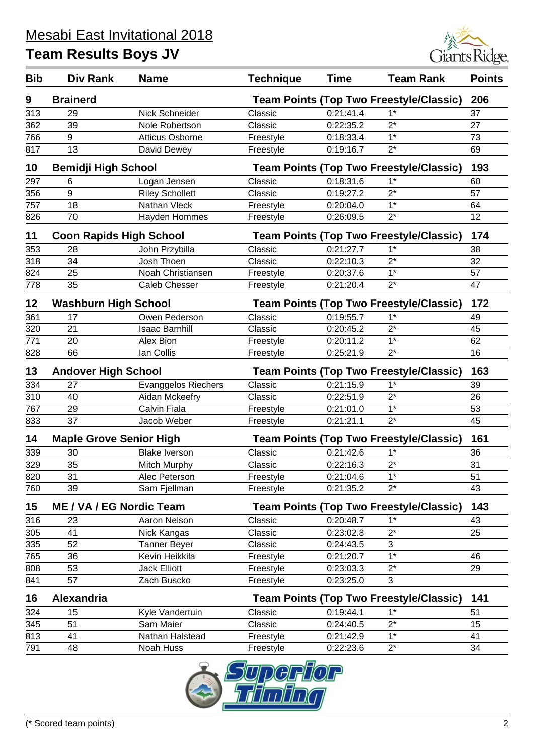

| <b>Brainerd</b><br><b>Team Points (Top Two Freestyle/Classic)</b><br>206<br>9<br>$1*$<br>313<br>Nick Schneider<br>0:21:41.4<br>29<br>Classic<br>37<br>$2^*$<br>362<br>39<br>Nole Robertson<br>0:22:35.2<br>27<br>Classic<br>9<br>$1*$<br>766<br>73<br><b>Atticus Osborne</b><br>0:18:33.4<br>Freestyle<br>13<br>$2^*$<br>817<br>Freestyle<br>0:19:16.7<br>69<br>David Dewey<br>10<br><b>Bemidji High School</b><br><b>Team Points (Top Two Freestyle/Classic)</b><br>193<br>297<br>0:18:31.6<br>$1^*$<br>Logan Jensen<br>Classic<br>60<br>6<br>9<br><b>Riley Schollett</b><br>$2^*$<br>0:19:27.2<br>57<br>356<br>Classic<br>757<br>$1*$<br>18<br>Nathan Vleck<br>Freestyle<br>0:20:04.0<br>64<br>826<br>70<br>$2^*$<br>12<br>Hayden Hommes<br>Freestyle<br>0:26:09.5<br>174<br><b>Coon Rapids High School</b><br><b>Team Points (Top Two Freestyle/Classic)</b><br>11<br>$1^*$<br>353<br>28<br>John Przybilla<br>0:21:27.7<br>Classic<br>38<br>34<br>318<br>$2^*$<br>32<br>Josh Thoen<br>Classic<br>0:22:10.3<br>$1*$<br>25<br>824<br>Noah Christiansen<br>57<br>Freestyle<br>0:20:37.6<br>35<br><b>Caleb Chesser</b><br>$2^*$<br>778<br>0:21:20.4<br>47<br>Freestyle<br><b>Team Points (Top Two Freestyle/Classic)</b><br>172<br>12<br><b>Washburn High School</b><br>$1*$<br>17<br>Owen Pederson<br>Classic<br>0:19:55.7<br>361<br>49<br>$\overline{320}$<br>21<br>$2^*$<br>0:20:45.2<br><b>Isaac Barnhill</b><br>Classic<br>45<br>771<br>$1*$<br>20<br>Alex Bion<br>0:20:11.2<br>62<br>Freestyle<br>66<br>$2^*$<br>828<br>lan Collis<br>16<br>Freestyle<br>0:25:21.9<br>13<br><b>Andover High School</b><br><b>Team Points (Top Two Freestyle/Classic)</b><br>163<br>334<br>0:21:15.9<br>$1^*$<br>27<br><b>Evanggelos Riechers</b><br>Classic<br>39<br>$2^*$<br>310<br>40<br>Aidan Mckeefry<br>0:22:51.9<br>26<br>Classic<br>$1*$<br>767<br>Calvin Fiala<br>29<br>0:21:01.0<br>53<br>Freestyle<br>37<br>$2^*$<br>833<br>45<br>Jacob Weber<br>Freestyle<br>0:21:21.1<br>161<br><b>Maple Grove Senior High</b><br><b>Team Points (Top Two Freestyle/Classic)</b><br>14<br>0:21:42.6<br>$1^*$<br>339<br>30<br>Classic<br>36<br><b>Blake Iverson</b><br>$2^*$<br>329<br>35<br>31<br>0:22:16.3<br>Mitch Murphy<br>Classic<br>820<br>31<br>Alec Peterson<br>0:21:04.6<br>$1*$<br>51<br>Freestyle<br>$2^*$<br>760<br>39<br>Sam Fjellman<br>Freestyle<br>0:21:35.2<br>43<br>15<br>143<br><b>ME / VA / EG Nordic Team</b><br><b>Team Points (Top Two Freestyle/Classic)</b><br>316<br>Aaron Nelson<br>Classic<br>0:20:48.7<br>$1^*$<br>23<br>43 | <b>Bib</b> | Div Rank | <b>Name</b> | <b>Technique</b> | <b>Time</b> | <b>Team Rank</b> | <b>Points</b> |
|-------------------------------------------------------------------------------------------------------------------------------------------------------------------------------------------------------------------------------------------------------------------------------------------------------------------------------------------------------------------------------------------------------------------------------------------------------------------------------------------------------------------------------------------------------------------------------------------------------------------------------------------------------------------------------------------------------------------------------------------------------------------------------------------------------------------------------------------------------------------------------------------------------------------------------------------------------------------------------------------------------------------------------------------------------------------------------------------------------------------------------------------------------------------------------------------------------------------------------------------------------------------------------------------------------------------------------------------------------------------------------------------------------------------------------------------------------------------------------------------------------------------------------------------------------------------------------------------------------------------------------------------------------------------------------------------------------------------------------------------------------------------------------------------------------------------------------------------------------------------------------------------------------------------------------------------------------------------------------------------------------------------------------------------------------------------------------------------------------------------------------------------------------------------------------------------------------------------------------------------------------------------------------------------------------------------------------------------------------------------------------------------------------------------------------------------------------------------------------------------------------------------------------------------|------------|----------|-------------|------------------|-------------|------------------|---------------|
|                                                                                                                                                                                                                                                                                                                                                                                                                                                                                                                                                                                                                                                                                                                                                                                                                                                                                                                                                                                                                                                                                                                                                                                                                                                                                                                                                                                                                                                                                                                                                                                                                                                                                                                                                                                                                                                                                                                                                                                                                                                                                                                                                                                                                                                                                                                                                                                                                                                                                                                                           |            |          |             |                  |             |                  |               |
|                                                                                                                                                                                                                                                                                                                                                                                                                                                                                                                                                                                                                                                                                                                                                                                                                                                                                                                                                                                                                                                                                                                                                                                                                                                                                                                                                                                                                                                                                                                                                                                                                                                                                                                                                                                                                                                                                                                                                                                                                                                                                                                                                                                                                                                                                                                                                                                                                                                                                                                                           |            |          |             |                  |             |                  |               |
|                                                                                                                                                                                                                                                                                                                                                                                                                                                                                                                                                                                                                                                                                                                                                                                                                                                                                                                                                                                                                                                                                                                                                                                                                                                                                                                                                                                                                                                                                                                                                                                                                                                                                                                                                                                                                                                                                                                                                                                                                                                                                                                                                                                                                                                                                                                                                                                                                                                                                                                                           |            |          |             |                  |             |                  |               |
|                                                                                                                                                                                                                                                                                                                                                                                                                                                                                                                                                                                                                                                                                                                                                                                                                                                                                                                                                                                                                                                                                                                                                                                                                                                                                                                                                                                                                                                                                                                                                                                                                                                                                                                                                                                                                                                                                                                                                                                                                                                                                                                                                                                                                                                                                                                                                                                                                                                                                                                                           |            |          |             |                  |             |                  |               |
|                                                                                                                                                                                                                                                                                                                                                                                                                                                                                                                                                                                                                                                                                                                                                                                                                                                                                                                                                                                                                                                                                                                                                                                                                                                                                                                                                                                                                                                                                                                                                                                                                                                                                                                                                                                                                                                                                                                                                                                                                                                                                                                                                                                                                                                                                                                                                                                                                                                                                                                                           |            |          |             |                  |             |                  |               |
|                                                                                                                                                                                                                                                                                                                                                                                                                                                                                                                                                                                                                                                                                                                                                                                                                                                                                                                                                                                                                                                                                                                                                                                                                                                                                                                                                                                                                                                                                                                                                                                                                                                                                                                                                                                                                                                                                                                                                                                                                                                                                                                                                                                                                                                                                                                                                                                                                                                                                                                                           |            |          |             |                  |             |                  |               |
|                                                                                                                                                                                                                                                                                                                                                                                                                                                                                                                                                                                                                                                                                                                                                                                                                                                                                                                                                                                                                                                                                                                                                                                                                                                                                                                                                                                                                                                                                                                                                                                                                                                                                                                                                                                                                                                                                                                                                                                                                                                                                                                                                                                                                                                                                                                                                                                                                                                                                                                                           |            |          |             |                  |             |                  |               |
|                                                                                                                                                                                                                                                                                                                                                                                                                                                                                                                                                                                                                                                                                                                                                                                                                                                                                                                                                                                                                                                                                                                                                                                                                                                                                                                                                                                                                                                                                                                                                                                                                                                                                                                                                                                                                                                                                                                                                                                                                                                                                                                                                                                                                                                                                                                                                                                                                                                                                                                                           |            |          |             |                  |             |                  |               |
|                                                                                                                                                                                                                                                                                                                                                                                                                                                                                                                                                                                                                                                                                                                                                                                                                                                                                                                                                                                                                                                                                                                                                                                                                                                                                                                                                                                                                                                                                                                                                                                                                                                                                                                                                                                                                                                                                                                                                                                                                                                                                                                                                                                                                                                                                                                                                                                                                                                                                                                                           |            |          |             |                  |             |                  |               |
|                                                                                                                                                                                                                                                                                                                                                                                                                                                                                                                                                                                                                                                                                                                                                                                                                                                                                                                                                                                                                                                                                                                                                                                                                                                                                                                                                                                                                                                                                                                                                                                                                                                                                                                                                                                                                                                                                                                                                                                                                                                                                                                                                                                                                                                                                                                                                                                                                                                                                                                                           |            |          |             |                  |             |                  |               |
|                                                                                                                                                                                                                                                                                                                                                                                                                                                                                                                                                                                                                                                                                                                                                                                                                                                                                                                                                                                                                                                                                                                                                                                                                                                                                                                                                                                                                                                                                                                                                                                                                                                                                                                                                                                                                                                                                                                                                                                                                                                                                                                                                                                                                                                                                                                                                                                                                                                                                                                                           |            |          |             |                  |             |                  |               |
|                                                                                                                                                                                                                                                                                                                                                                                                                                                                                                                                                                                                                                                                                                                                                                                                                                                                                                                                                                                                                                                                                                                                                                                                                                                                                                                                                                                                                                                                                                                                                                                                                                                                                                                                                                                                                                                                                                                                                                                                                                                                                                                                                                                                                                                                                                                                                                                                                                                                                                                                           |            |          |             |                  |             |                  |               |
|                                                                                                                                                                                                                                                                                                                                                                                                                                                                                                                                                                                                                                                                                                                                                                                                                                                                                                                                                                                                                                                                                                                                                                                                                                                                                                                                                                                                                                                                                                                                                                                                                                                                                                                                                                                                                                                                                                                                                                                                                                                                                                                                                                                                                                                                                                                                                                                                                                                                                                                                           |            |          |             |                  |             |                  |               |
|                                                                                                                                                                                                                                                                                                                                                                                                                                                                                                                                                                                                                                                                                                                                                                                                                                                                                                                                                                                                                                                                                                                                                                                                                                                                                                                                                                                                                                                                                                                                                                                                                                                                                                                                                                                                                                                                                                                                                                                                                                                                                                                                                                                                                                                                                                                                                                                                                                                                                                                                           |            |          |             |                  |             |                  |               |
|                                                                                                                                                                                                                                                                                                                                                                                                                                                                                                                                                                                                                                                                                                                                                                                                                                                                                                                                                                                                                                                                                                                                                                                                                                                                                                                                                                                                                                                                                                                                                                                                                                                                                                                                                                                                                                                                                                                                                                                                                                                                                                                                                                                                                                                                                                                                                                                                                                                                                                                                           |            |          |             |                  |             |                  |               |
|                                                                                                                                                                                                                                                                                                                                                                                                                                                                                                                                                                                                                                                                                                                                                                                                                                                                                                                                                                                                                                                                                                                                                                                                                                                                                                                                                                                                                                                                                                                                                                                                                                                                                                                                                                                                                                                                                                                                                                                                                                                                                                                                                                                                                                                                                                                                                                                                                                                                                                                                           |            |          |             |                  |             |                  |               |
|                                                                                                                                                                                                                                                                                                                                                                                                                                                                                                                                                                                                                                                                                                                                                                                                                                                                                                                                                                                                                                                                                                                                                                                                                                                                                                                                                                                                                                                                                                                                                                                                                                                                                                                                                                                                                                                                                                                                                                                                                                                                                                                                                                                                                                                                                                                                                                                                                                                                                                                                           |            |          |             |                  |             |                  |               |
|                                                                                                                                                                                                                                                                                                                                                                                                                                                                                                                                                                                                                                                                                                                                                                                                                                                                                                                                                                                                                                                                                                                                                                                                                                                                                                                                                                                                                                                                                                                                                                                                                                                                                                                                                                                                                                                                                                                                                                                                                                                                                                                                                                                                                                                                                                                                                                                                                                                                                                                                           |            |          |             |                  |             |                  |               |
|                                                                                                                                                                                                                                                                                                                                                                                                                                                                                                                                                                                                                                                                                                                                                                                                                                                                                                                                                                                                                                                                                                                                                                                                                                                                                                                                                                                                                                                                                                                                                                                                                                                                                                                                                                                                                                                                                                                                                                                                                                                                                                                                                                                                                                                                                                                                                                                                                                                                                                                                           |            |          |             |                  |             |                  |               |
|                                                                                                                                                                                                                                                                                                                                                                                                                                                                                                                                                                                                                                                                                                                                                                                                                                                                                                                                                                                                                                                                                                                                                                                                                                                                                                                                                                                                                                                                                                                                                                                                                                                                                                                                                                                                                                                                                                                                                                                                                                                                                                                                                                                                                                                                                                                                                                                                                                                                                                                                           |            |          |             |                  |             |                  |               |
|                                                                                                                                                                                                                                                                                                                                                                                                                                                                                                                                                                                                                                                                                                                                                                                                                                                                                                                                                                                                                                                                                                                                                                                                                                                                                                                                                                                                                                                                                                                                                                                                                                                                                                                                                                                                                                                                                                                                                                                                                                                                                                                                                                                                                                                                                                                                                                                                                                                                                                                                           |            |          |             |                  |             |                  |               |
|                                                                                                                                                                                                                                                                                                                                                                                                                                                                                                                                                                                                                                                                                                                                                                                                                                                                                                                                                                                                                                                                                                                                                                                                                                                                                                                                                                                                                                                                                                                                                                                                                                                                                                                                                                                                                                                                                                                                                                                                                                                                                                                                                                                                                                                                                                                                                                                                                                                                                                                                           |            |          |             |                  |             |                  |               |
|                                                                                                                                                                                                                                                                                                                                                                                                                                                                                                                                                                                                                                                                                                                                                                                                                                                                                                                                                                                                                                                                                                                                                                                                                                                                                                                                                                                                                                                                                                                                                                                                                                                                                                                                                                                                                                                                                                                                                                                                                                                                                                                                                                                                                                                                                                                                                                                                                                                                                                                                           |            |          |             |                  |             |                  |               |
|                                                                                                                                                                                                                                                                                                                                                                                                                                                                                                                                                                                                                                                                                                                                                                                                                                                                                                                                                                                                                                                                                                                                                                                                                                                                                                                                                                                                                                                                                                                                                                                                                                                                                                                                                                                                                                                                                                                                                                                                                                                                                                                                                                                                                                                                                                                                                                                                                                                                                                                                           |            |          |             |                  |             |                  |               |
|                                                                                                                                                                                                                                                                                                                                                                                                                                                                                                                                                                                                                                                                                                                                                                                                                                                                                                                                                                                                                                                                                                                                                                                                                                                                                                                                                                                                                                                                                                                                                                                                                                                                                                                                                                                                                                                                                                                                                                                                                                                                                                                                                                                                                                                                                                                                                                                                                                                                                                                                           |            |          |             |                  |             |                  |               |
|                                                                                                                                                                                                                                                                                                                                                                                                                                                                                                                                                                                                                                                                                                                                                                                                                                                                                                                                                                                                                                                                                                                                                                                                                                                                                                                                                                                                                                                                                                                                                                                                                                                                                                                                                                                                                                                                                                                                                                                                                                                                                                                                                                                                                                                                                                                                                                                                                                                                                                                                           |            |          |             |                  |             |                  |               |
|                                                                                                                                                                                                                                                                                                                                                                                                                                                                                                                                                                                                                                                                                                                                                                                                                                                                                                                                                                                                                                                                                                                                                                                                                                                                                                                                                                                                                                                                                                                                                                                                                                                                                                                                                                                                                                                                                                                                                                                                                                                                                                                                                                                                                                                                                                                                                                                                                                                                                                                                           |            |          |             |                  |             |                  |               |
|                                                                                                                                                                                                                                                                                                                                                                                                                                                                                                                                                                                                                                                                                                                                                                                                                                                                                                                                                                                                                                                                                                                                                                                                                                                                                                                                                                                                                                                                                                                                                                                                                                                                                                                                                                                                                                                                                                                                                                                                                                                                                                                                                                                                                                                                                                                                                                                                                                                                                                                                           |            |          |             |                  |             |                  |               |
|                                                                                                                                                                                                                                                                                                                                                                                                                                                                                                                                                                                                                                                                                                                                                                                                                                                                                                                                                                                                                                                                                                                                                                                                                                                                                                                                                                                                                                                                                                                                                                                                                                                                                                                                                                                                                                                                                                                                                                                                                                                                                                                                                                                                                                                                                                                                                                                                                                                                                                                                           |            |          |             |                  |             |                  |               |
|                                                                                                                                                                                                                                                                                                                                                                                                                                                                                                                                                                                                                                                                                                                                                                                                                                                                                                                                                                                                                                                                                                                                                                                                                                                                                                                                                                                                                                                                                                                                                                                                                                                                                                                                                                                                                                                                                                                                                                                                                                                                                                                                                                                                                                                                                                                                                                                                                                                                                                                                           |            |          |             |                  |             |                  |               |
|                                                                                                                                                                                                                                                                                                                                                                                                                                                                                                                                                                                                                                                                                                                                                                                                                                                                                                                                                                                                                                                                                                                                                                                                                                                                                                                                                                                                                                                                                                                                                                                                                                                                                                                                                                                                                                                                                                                                                                                                                                                                                                                                                                                                                                                                                                                                                                                                                                                                                                                                           |            |          |             |                  |             |                  |               |
|                                                                                                                                                                                                                                                                                                                                                                                                                                                                                                                                                                                                                                                                                                                                                                                                                                                                                                                                                                                                                                                                                                                                                                                                                                                                                                                                                                                                                                                                                                                                                                                                                                                                                                                                                                                                                                                                                                                                                                                                                                                                                                                                                                                                                                                                                                                                                                                                                                                                                                                                           |            |          |             |                  |             |                  |               |
|                                                                                                                                                                                                                                                                                                                                                                                                                                                                                                                                                                                                                                                                                                                                                                                                                                                                                                                                                                                                                                                                                                                                                                                                                                                                                                                                                                                                                                                                                                                                                                                                                                                                                                                                                                                                                                                                                                                                                                                                                                                                                                                                                                                                                                                                                                                                                                                                                                                                                                                                           | 305        | 41       | Nick Kangas | Classic          | 0:23:02.8   | $2^*$            | 25            |
| 335<br>52<br><b>Tanner Beyer</b><br>Classic<br>0:24:43.5<br>3                                                                                                                                                                                                                                                                                                                                                                                                                                                                                                                                                                                                                                                                                                                                                                                                                                                                                                                                                                                                                                                                                                                                                                                                                                                                                                                                                                                                                                                                                                                                                                                                                                                                                                                                                                                                                                                                                                                                                                                                                                                                                                                                                                                                                                                                                                                                                                                                                                                                             |            |          |             |                  |             |                  |               |
| $1*$<br>765<br>36<br>Kevin Heikkila<br>0:21:20.7<br>46<br>Freestyle                                                                                                                                                                                                                                                                                                                                                                                                                                                                                                                                                                                                                                                                                                                                                                                                                                                                                                                                                                                                                                                                                                                                                                                                                                                                                                                                                                                                                                                                                                                                                                                                                                                                                                                                                                                                                                                                                                                                                                                                                                                                                                                                                                                                                                                                                                                                                                                                                                                                       |            |          |             |                  |             |                  |               |
| 53<br>$2^*$<br>808<br>Jack Elliott<br>Freestyle<br>0:23:03.3<br>29                                                                                                                                                                                                                                                                                                                                                                                                                                                                                                                                                                                                                                                                                                                                                                                                                                                                                                                                                                                                                                                                                                                                                                                                                                                                                                                                                                                                                                                                                                                                                                                                                                                                                                                                                                                                                                                                                                                                                                                                                                                                                                                                                                                                                                                                                                                                                                                                                                                                        |            |          |             |                  |             |                  |               |
| 57<br>3<br>841<br>Zach Buscko<br>0:23:25.0<br>Freestyle                                                                                                                                                                                                                                                                                                                                                                                                                                                                                                                                                                                                                                                                                                                                                                                                                                                                                                                                                                                                                                                                                                                                                                                                                                                                                                                                                                                                                                                                                                                                                                                                                                                                                                                                                                                                                                                                                                                                                                                                                                                                                                                                                                                                                                                                                                                                                                                                                                                                                   |            |          |             |                  |             |                  |               |
| Alexandria<br>16<br><b>Team Points (Top Two Freestyle/Classic)</b><br>141                                                                                                                                                                                                                                                                                                                                                                                                                                                                                                                                                                                                                                                                                                                                                                                                                                                                                                                                                                                                                                                                                                                                                                                                                                                                                                                                                                                                                                                                                                                                                                                                                                                                                                                                                                                                                                                                                                                                                                                                                                                                                                                                                                                                                                                                                                                                                                                                                                                                 |            |          |             |                  |             |                  |               |
| 0:19:44.1<br>$1^*$<br>324<br>15<br>Kyle Vandertuin<br>Classic<br>51                                                                                                                                                                                                                                                                                                                                                                                                                                                                                                                                                                                                                                                                                                                                                                                                                                                                                                                                                                                                                                                                                                                                                                                                                                                                                                                                                                                                                                                                                                                                                                                                                                                                                                                                                                                                                                                                                                                                                                                                                                                                                                                                                                                                                                                                                                                                                                                                                                                                       |            |          |             |                  |             |                  |               |
| $2^*$<br>345<br>51<br>Sam Maier<br>Classic<br>0:24:40.5<br>15                                                                                                                                                                                                                                                                                                                                                                                                                                                                                                                                                                                                                                                                                                                                                                                                                                                                                                                                                                                                                                                                                                                                                                                                                                                                                                                                                                                                                                                                                                                                                                                                                                                                                                                                                                                                                                                                                                                                                                                                                                                                                                                                                                                                                                                                                                                                                                                                                                                                             |            |          |             |                  |             |                  |               |
| $1^*$<br>813<br>41<br>Nathan Halstead<br>0:21:42.9<br>Freestyle<br>41                                                                                                                                                                                                                                                                                                                                                                                                                                                                                                                                                                                                                                                                                                                                                                                                                                                                                                                                                                                                                                                                                                                                                                                                                                                                                                                                                                                                                                                                                                                                                                                                                                                                                                                                                                                                                                                                                                                                                                                                                                                                                                                                                                                                                                                                                                                                                                                                                                                                     |            |          |             |                  |             |                  |               |
| 791<br>$2^*$<br>48<br>Noah Huss<br>34<br>Freestyle<br>0:22:23.6                                                                                                                                                                                                                                                                                                                                                                                                                                                                                                                                                                                                                                                                                                                                                                                                                                                                                                                                                                                                                                                                                                                                                                                                                                                                                                                                                                                                                                                                                                                                                                                                                                                                                                                                                                                                                                                                                                                                                                                                                                                                                                                                                                                                                                                                                                                                                                                                                                                                           |            |          |             |                  |             |                  |               |

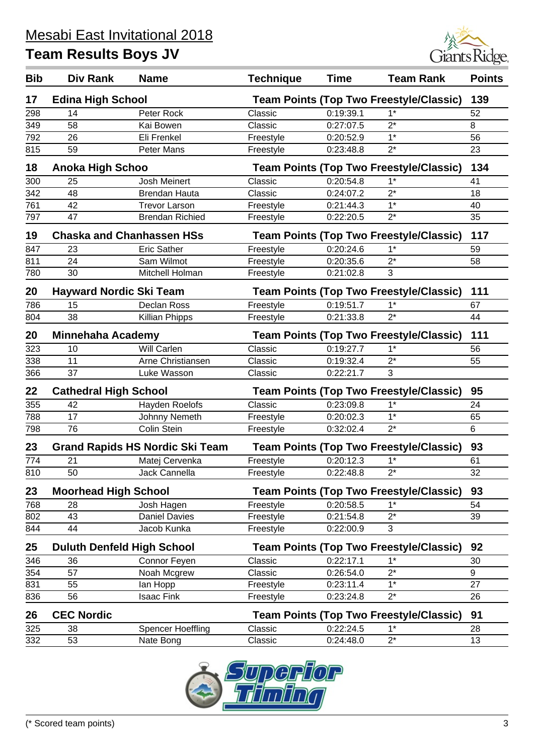

| <b>Bib</b> | Div Rank                          | <b>Name</b>                            | <b>Technique</b>                                      | <b>Time</b> | <b>Team Rank</b>                               | <b>Points</b> |  |  |
|------------|-----------------------------------|----------------------------------------|-------------------------------------------------------|-------------|------------------------------------------------|---------------|--|--|
| 17         | <b>Edina High School</b>          |                                        |                                                       |             | <b>Team Points (Top Two Freestyle/Classic)</b> | 139           |  |  |
| 298        | 14                                | Peter Rock                             | Classic                                               | 0:19:39.1   | $1^*$                                          | 52            |  |  |
| 349        | 58                                | Kai Bowen                              | Classic                                               | 0:27:07.5   | $2^*$                                          | 8             |  |  |
| 792        | 26                                | Eli Frenkel                            | Freestyle                                             | 0:20:52.9   | $1*$                                           | 56            |  |  |
| 815        | 59                                | Peter Mans                             | Freestyle                                             | 0:23:48.8   | $2^*$                                          | 23            |  |  |
| 18         | <b>Anoka High Schoo</b>           |                                        |                                                       |             | <b>Team Points (Top Two Freestyle/Classic)</b> | 134           |  |  |
| 300        | 25                                | <b>Josh Meinert</b>                    | Classic                                               | 0:20:54.8   | $1*$                                           | 41            |  |  |
| 342        | 48                                | <b>Brendan Hauta</b>                   | Classic                                               | 0:24:07.2   | $2^*$                                          | 18            |  |  |
| 761        | 42                                | <b>Trevor Larson</b>                   | Freestyle                                             | 0:21:44.3   | $1^*$                                          | 40            |  |  |
| 797        | 47                                | <b>Brendan Richied</b>                 | Freestyle                                             | 0:22:20.5   | $2^*$                                          | 35            |  |  |
| 19         |                                   | <b>Chaska and Chanhassen HSs</b>       | <b>Team Points (Top Two Freestyle/Classic)</b><br>117 |             |                                                |               |  |  |
| 847        | 23                                | <b>Eric Sather</b>                     | Freestyle                                             | 0:20:24.6   | $1^*$                                          | 59            |  |  |
| 811        | 24                                | Sam Wilmot                             | Freestyle                                             | 0:20:35.6   | $2^*$                                          | 58            |  |  |
| 780        | 30                                | Mitchell Holman                        | Freestyle                                             | 0:21:02.8   | 3                                              |               |  |  |
| 20         | <b>Hayward Nordic Ski Team</b>    |                                        |                                                       |             | <b>Team Points (Top Two Freestyle/Classic)</b> | 111           |  |  |
| 786        | 15                                | Declan Ross                            | Freestyle                                             | 0:19:51.7   | $1*$                                           | 67            |  |  |
| 804        | 38                                | Killian Phipps                         | Freestyle                                             | 0:21:33.8   | $2^*$                                          | 44            |  |  |
| 20         | <b>Minnehaha Academy</b>          |                                        |                                                       |             | <b>Team Points (Top Two Freestyle/Classic)</b> | 111           |  |  |
| 323        | 10                                | <b>Will Carlen</b>                     | Classic                                               | 0:19:27.7   | $1*$                                           | 56            |  |  |
| 338        | 11                                | Arne Christiansen                      | Classic                                               | 0:19:32.4   | $2^*$                                          | 55            |  |  |
| 366        | 37                                | Luke Wasson                            | Classic                                               | 0:22:21.7   | 3                                              |               |  |  |
| 22         | <b>Cathedral High School</b>      |                                        |                                                       |             | <b>Team Points (Top Two Freestyle/Classic)</b> | 95            |  |  |
| 355        | 42                                | Hayden Roelofs                         | Classic                                               | 0:23:09.8   | $1*$                                           | 24            |  |  |
| 788        | 17                                | Johnny Nemeth                          | Freestyle                                             | 0:20:02.3   | $1*$                                           | 65            |  |  |
| 798        | $\overline{76}$                   | <b>Colin Stein</b>                     | Freestyle                                             | 0:32:02.4   | $2^*$                                          | 6             |  |  |
| 23         |                                   | <b>Grand Rapids HS Nordic Ski Team</b> |                                                       |             | <b>Team Points (Top Two Freestyle/Classic)</b> | 93            |  |  |
| 774        | 21                                | Matej Cervenka                         | Freestyle                                             | 0:20:12.3   | $1^*$                                          | 61            |  |  |
| 810        | 50                                | Jack Cannella                          | Freestyle                                             | 0:22:48.8   | 2*                                             | 32            |  |  |
| 23         | <b>Moorhead High School</b>       |                                        |                                                       |             | <b>Team Points (Top Two Freestyle/Classic)</b> | 93            |  |  |
| 768        | 28                                | Josh Hagen                             | Freestyle                                             | 0:20:58.5   | $1*$                                           | 54            |  |  |
| 802        | 43                                | <b>Daniel Davies</b>                   | Freestyle                                             | 0:21:54.8   | $2^*$                                          | 39            |  |  |
| 844        | 44                                | Jacob Kunka                            | Freestyle                                             | 0:22:00.9   | 3                                              |               |  |  |
| 25         | <b>Duluth Denfeld High School</b> |                                        |                                                       |             | <b>Team Points (Top Two Freestyle/Classic)</b> | 92            |  |  |
| 346        | 36                                | Connor Feyen                           | Classic                                               | 0:22:17.1   | $1^*$                                          | 30            |  |  |
| 354        | 57                                | Noah Mcgrew                            | Classic                                               | 0:26:54.0   | $2^*$                                          | 9             |  |  |
| 831        | 55                                | lan Hopp                               | Freestyle                                             | 0:23:11.4   | $1*$                                           | 27            |  |  |
| 836        | 56                                | <b>Isaac Fink</b>                      | Freestyle                                             | 0:23:24.8   | $2^*$                                          | 26            |  |  |
| 26         | <b>CEC Nordic</b>                 |                                        |                                                       |             | <b>Team Points (Top Two Freestyle/Classic)</b> | 91            |  |  |
| 325        | 38                                | <b>Spencer Hoeffling</b>               | Classic                                               | 0:22:24.5   | $1^*$                                          | 28            |  |  |
| 332        | 53                                | Nate Bong                              | Classic                                               | 0:24:48.0   | $2^*$                                          | 13            |  |  |

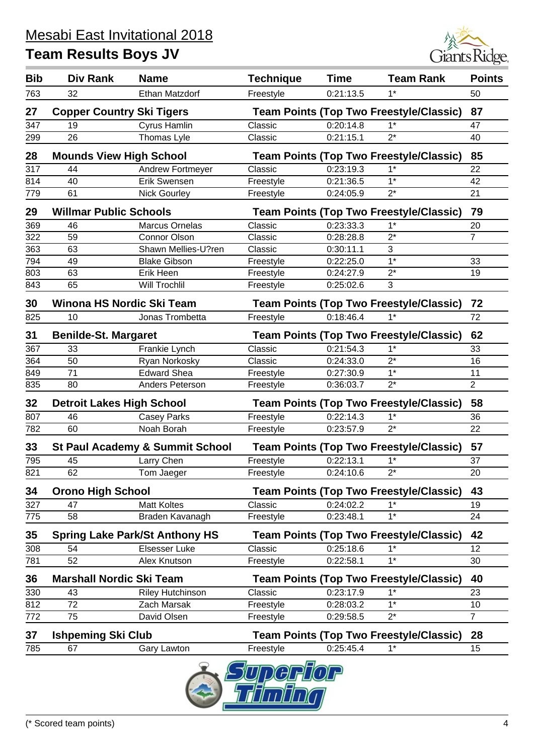

| 763<br>32<br>0:21:13.5<br>$1^*$<br>50<br>Freestyle<br>27<br><b>Copper Country Ski Tigers</b><br><b>Team Points (Top Two Freestyle/Classic)</b><br>87<br>347<br>19<br>Cyrus Hamlin<br>Classic<br>0:20:14.8<br>$1^*$<br>47<br>26<br>Thomas Lyle<br>$2^*$<br>Classic<br>0:21:15.1<br>40<br>299<br>28<br><b>Mounds View High School</b><br><b>Team Points (Top Two Freestyle/Classic)</b><br>85<br>317<br>Andrew Fortmeyer<br>0:23:19.3<br>$1^*$<br>22<br>44<br>Classic<br>$1*$<br>Erik Swensen<br>814<br>40<br>Freestyle<br>0:21:36.5<br>42<br>$2^*$<br>61<br>21<br>779<br><b>Nick Gourley</b><br>Freestyle<br>0:24:05.9<br>29<br><b>Willmar Public Schools</b><br><b>Team Points (Top Two Freestyle/Classic)</b><br>79<br>$1*$<br>369<br>0:23:33.3<br>46<br><b>Marcus Ornelas</b><br>20<br>Classic<br>322<br>$2^*$<br>$\overline{7}$<br>59<br><b>Connor Olson</b><br>Classic<br>0:28:28.8<br>363<br>63<br>Shawn Mellies-U?ren<br>3<br>Classic<br>0:30:11.1<br>$1*$<br>794<br>49<br><b>Blake Gibson</b><br>0:22:25.0<br>33<br>Freestyle<br>$2^*$<br>803<br>63<br>Erik Heen<br>Freestyle<br>0:24:27.9<br>19<br>65<br>3<br>843<br><b>Will Trochlil</b><br>Freestyle<br>0:25:02.6<br>Winona HS Nordic Ski Team<br>30<br><b>Team Points (Top Two Freestyle/Classic)</b><br>72<br>72<br>825<br>Jonas Trombetta<br>0:18:46.4<br>$1*$<br>10<br>Freestyle<br>31<br><b>Benilde-St. Margaret</b><br><b>Team Points (Top Two Freestyle/Classic)</b><br>62<br>$1*$<br>367<br>33<br>Classic<br>0:21:54.3<br>Frankie Lynch<br>33<br>$2^*$<br>50<br>364<br>Ryan Norkosky<br>Classic<br>0:24:33.0<br>16<br>$1*$<br>71<br><b>Edward Shea</b><br>849<br>0:27:30.9<br>11<br>Freestyle<br>$\overline{2}$<br>$2^*$<br>835<br>80<br>Anders Peterson<br>0:36:03.7<br>Freestyle<br>58<br>32<br><b>Detroit Lakes High School</b><br><b>Team Points (Top Two Freestyle/Classic)</b><br>46<br><b>Casey Parks</b><br>0:22:14.3<br>$1*$<br>36<br>807<br>Freestyle<br>$2^*$<br>782<br>60<br>Noah Borah<br>Freestyle<br>0:23:57.9<br>22<br>57<br>33<br><b>St Paul Academy &amp; Summit School</b><br><b>Team Points (Top Two Freestyle/Classic)</b><br>0:22:13.1<br>$1*$<br>795<br>45<br>Larry Chen<br>37<br>Freestyle<br>62<br>0:24:10.6<br>$2^*$<br>Tom Jaeger<br>Freestyle<br>20<br>821<br>43<br><b>Orono High School</b><br><b>Team Points (Top Two Freestyle/Classic)</b><br>34<br><b>Matt Koltes</b><br>$1*$<br>327<br>47<br>Classic<br>0:24:02.2<br>19<br>$1*$<br>58<br>0:23:48.1<br>24<br>775<br>Braden Kavanagh<br>Freestyle<br>35<br><b>Spring Lake Park/St Anthony HS</b><br>42<br><b>Team Points (Top Two Freestyle/Classic)</b><br>Elsesser Luke<br>Classic<br>308<br>54<br>0:25:18.6<br>$1*$<br>12<br>$1*$<br>52<br>Alex Knutson<br>781<br>0:22:58.1<br>30<br>Freestyle<br><b>Marshall Nordic Ski Team</b><br>36<br><b>Team Points (Top Two Freestyle/Classic)</b><br>40<br>Classic<br>$1*$<br>330<br>43<br>0:23:17.9<br><b>Riley Hutchinson</b><br>23<br>$1*$<br>812<br>72<br>Zach Marsak<br>Freestyle<br>0:28:03.2<br>10<br>$\overline{7}$<br>75<br>David Olsen<br>$2^*$<br>772<br>Freestyle<br>0:29:58.5<br>37<br><b>Ishpeming Ski Club</b><br><b>Team Points (Top Two Freestyle/Classic)</b><br>28<br>67<br>0:25:45.4<br>$1*$<br>785<br>Gary Lawton<br>15<br>Freestyle | <b>Bib</b> | Div Rank | <b>Name</b>    | <b>Technique</b> | <b>Time</b> | <b>Team Rank</b> | <b>Points</b> |
|--------------------------------------------------------------------------------------------------------------------------------------------------------------------------------------------------------------------------------------------------------------------------------------------------------------------------------------------------------------------------------------------------------------------------------------------------------------------------------------------------------------------------------------------------------------------------------------------------------------------------------------------------------------------------------------------------------------------------------------------------------------------------------------------------------------------------------------------------------------------------------------------------------------------------------------------------------------------------------------------------------------------------------------------------------------------------------------------------------------------------------------------------------------------------------------------------------------------------------------------------------------------------------------------------------------------------------------------------------------------------------------------------------------------------------------------------------------------------------------------------------------------------------------------------------------------------------------------------------------------------------------------------------------------------------------------------------------------------------------------------------------------------------------------------------------------------------------------------------------------------------------------------------------------------------------------------------------------------------------------------------------------------------------------------------------------------------------------------------------------------------------------------------------------------------------------------------------------------------------------------------------------------------------------------------------------------------------------------------------------------------------------------------------------------------------------------------------------------------------------------------------------------------------------------------------------------------------------------------------------------------------------------------------------------------------------------------------------------------------------------------------------------------------------------------------------------------------------------------------------------------------------------------------------------------------------------------------------------------------------------------------------------------------------------------------------------------------------------------------------------------------------------------------------------------------------------------------------------------------------------------|------------|----------|----------------|------------------|-------------|------------------|---------------|
|                                                                                                                                                                                                                                                                                                                                                                                                                                                                                                                                                                                                                                                                                                                                                                                                                                                                                                                                                                                                                                                                                                                                                                                                                                                                                                                                                                                                                                                                                                                                                                                                                                                                                                                                                                                                                                                                                                                                                                                                                                                                                                                                                                                                                                                                                                                                                                                                                                                                                                                                                                                                                                                                                                                                                                                                                                                                                                                                                                                                                                                                                                                                                                                                                                                        |            |          | Ethan Matzdorf |                  |             |                  |               |
|                                                                                                                                                                                                                                                                                                                                                                                                                                                                                                                                                                                                                                                                                                                                                                                                                                                                                                                                                                                                                                                                                                                                                                                                                                                                                                                                                                                                                                                                                                                                                                                                                                                                                                                                                                                                                                                                                                                                                                                                                                                                                                                                                                                                                                                                                                                                                                                                                                                                                                                                                                                                                                                                                                                                                                                                                                                                                                                                                                                                                                                                                                                                                                                                                                                        |            |          |                |                  |             |                  |               |
|                                                                                                                                                                                                                                                                                                                                                                                                                                                                                                                                                                                                                                                                                                                                                                                                                                                                                                                                                                                                                                                                                                                                                                                                                                                                                                                                                                                                                                                                                                                                                                                                                                                                                                                                                                                                                                                                                                                                                                                                                                                                                                                                                                                                                                                                                                                                                                                                                                                                                                                                                                                                                                                                                                                                                                                                                                                                                                                                                                                                                                                                                                                                                                                                                                                        |            |          |                |                  |             |                  |               |
|                                                                                                                                                                                                                                                                                                                                                                                                                                                                                                                                                                                                                                                                                                                                                                                                                                                                                                                                                                                                                                                                                                                                                                                                                                                                                                                                                                                                                                                                                                                                                                                                                                                                                                                                                                                                                                                                                                                                                                                                                                                                                                                                                                                                                                                                                                                                                                                                                                                                                                                                                                                                                                                                                                                                                                                                                                                                                                                                                                                                                                                                                                                                                                                                                                                        |            |          |                |                  |             |                  |               |
|                                                                                                                                                                                                                                                                                                                                                                                                                                                                                                                                                                                                                                                                                                                                                                                                                                                                                                                                                                                                                                                                                                                                                                                                                                                                                                                                                                                                                                                                                                                                                                                                                                                                                                                                                                                                                                                                                                                                                                                                                                                                                                                                                                                                                                                                                                                                                                                                                                                                                                                                                                                                                                                                                                                                                                                                                                                                                                                                                                                                                                                                                                                                                                                                                                                        |            |          |                |                  |             |                  |               |
|                                                                                                                                                                                                                                                                                                                                                                                                                                                                                                                                                                                                                                                                                                                                                                                                                                                                                                                                                                                                                                                                                                                                                                                                                                                                                                                                                                                                                                                                                                                                                                                                                                                                                                                                                                                                                                                                                                                                                                                                                                                                                                                                                                                                                                                                                                                                                                                                                                                                                                                                                                                                                                                                                                                                                                                                                                                                                                                                                                                                                                                                                                                                                                                                                                                        |            |          |                |                  |             |                  |               |
|                                                                                                                                                                                                                                                                                                                                                                                                                                                                                                                                                                                                                                                                                                                                                                                                                                                                                                                                                                                                                                                                                                                                                                                                                                                                                                                                                                                                                                                                                                                                                                                                                                                                                                                                                                                                                                                                                                                                                                                                                                                                                                                                                                                                                                                                                                                                                                                                                                                                                                                                                                                                                                                                                                                                                                                                                                                                                                                                                                                                                                                                                                                                                                                                                                                        |            |          |                |                  |             |                  |               |
|                                                                                                                                                                                                                                                                                                                                                                                                                                                                                                                                                                                                                                                                                                                                                                                                                                                                                                                                                                                                                                                                                                                                                                                                                                                                                                                                                                                                                                                                                                                                                                                                                                                                                                                                                                                                                                                                                                                                                                                                                                                                                                                                                                                                                                                                                                                                                                                                                                                                                                                                                                                                                                                                                                                                                                                                                                                                                                                                                                                                                                                                                                                                                                                                                                                        |            |          |                |                  |             |                  |               |
|                                                                                                                                                                                                                                                                                                                                                                                                                                                                                                                                                                                                                                                                                                                                                                                                                                                                                                                                                                                                                                                                                                                                                                                                                                                                                                                                                                                                                                                                                                                                                                                                                                                                                                                                                                                                                                                                                                                                                                                                                                                                                                                                                                                                                                                                                                                                                                                                                                                                                                                                                                                                                                                                                                                                                                                                                                                                                                                                                                                                                                                                                                                                                                                                                                                        |            |          |                |                  |             |                  |               |
|                                                                                                                                                                                                                                                                                                                                                                                                                                                                                                                                                                                                                                                                                                                                                                                                                                                                                                                                                                                                                                                                                                                                                                                                                                                                                                                                                                                                                                                                                                                                                                                                                                                                                                                                                                                                                                                                                                                                                                                                                                                                                                                                                                                                                                                                                                                                                                                                                                                                                                                                                                                                                                                                                                                                                                                                                                                                                                                                                                                                                                                                                                                                                                                                                                                        |            |          |                |                  |             |                  |               |
|                                                                                                                                                                                                                                                                                                                                                                                                                                                                                                                                                                                                                                                                                                                                                                                                                                                                                                                                                                                                                                                                                                                                                                                                                                                                                                                                                                                                                                                                                                                                                                                                                                                                                                                                                                                                                                                                                                                                                                                                                                                                                                                                                                                                                                                                                                                                                                                                                                                                                                                                                                                                                                                                                                                                                                                                                                                                                                                                                                                                                                                                                                                                                                                                                                                        |            |          |                |                  |             |                  |               |
|                                                                                                                                                                                                                                                                                                                                                                                                                                                                                                                                                                                                                                                                                                                                                                                                                                                                                                                                                                                                                                                                                                                                                                                                                                                                                                                                                                                                                                                                                                                                                                                                                                                                                                                                                                                                                                                                                                                                                                                                                                                                                                                                                                                                                                                                                                                                                                                                                                                                                                                                                                                                                                                                                                                                                                                                                                                                                                                                                                                                                                                                                                                                                                                                                                                        |            |          |                |                  |             |                  |               |
|                                                                                                                                                                                                                                                                                                                                                                                                                                                                                                                                                                                                                                                                                                                                                                                                                                                                                                                                                                                                                                                                                                                                                                                                                                                                                                                                                                                                                                                                                                                                                                                                                                                                                                                                                                                                                                                                                                                                                                                                                                                                                                                                                                                                                                                                                                                                                                                                                                                                                                                                                                                                                                                                                                                                                                                                                                                                                                                                                                                                                                                                                                                                                                                                                                                        |            |          |                |                  |             |                  |               |
|                                                                                                                                                                                                                                                                                                                                                                                                                                                                                                                                                                                                                                                                                                                                                                                                                                                                                                                                                                                                                                                                                                                                                                                                                                                                                                                                                                                                                                                                                                                                                                                                                                                                                                                                                                                                                                                                                                                                                                                                                                                                                                                                                                                                                                                                                                                                                                                                                                                                                                                                                                                                                                                                                                                                                                                                                                                                                                                                                                                                                                                                                                                                                                                                                                                        |            |          |                |                  |             |                  |               |
|                                                                                                                                                                                                                                                                                                                                                                                                                                                                                                                                                                                                                                                                                                                                                                                                                                                                                                                                                                                                                                                                                                                                                                                                                                                                                                                                                                                                                                                                                                                                                                                                                                                                                                                                                                                                                                                                                                                                                                                                                                                                                                                                                                                                                                                                                                                                                                                                                                                                                                                                                                                                                                                                                                                                                                                                                                                                                                                                                                                                                                                                                                                                                                                                                                                        |            |          |                |                  |             |                  |               |
|                                                                                                                                                                                                                                                                                                                                                                                                                                                                                                                                                                                                                                                                                                                                                                                                                                                                                                                                                                                                                                                                                                                                                                                                                                                                                                                                                                                                                                                                                                                                                                                                                                                                                                                                                                                                                                                                                                                                                                                                                                                                                                                                                                                                                                                                                                                                                                                                                                                                                                                                                                                                                                                                                                                                                                                                                                                                                                                                                                                                                                                                                                                                                                                                                                                        |            |          |                |                  |             |                  |               |
|                                                                                                                                                                                                                                                                                                                                                                                                                                                                                                                                                                                                                                                                                                                                                                                                                                                                                                                                                                                                                                                                                                                                                                                                                                                                                                                                                                                                                                                                                                                                                                                                                                                                                                                                                                                                                                                                                                                                                                                                                                                                                                                                                                                                                                                                                                                                                                                                                                                                                                                                                                                                                                                                                                                                                                                                                                                                                                                                                                                                                                                                                                                                                                                                                                                        |            |          |                |                  |             |                  |               |
|                                                                                                                                                                                                                                                                                                                                                                                                                                                                                                                                                                                                                                                                                                                                                                                                                                                                                                                                                                                                                                                                                                                                                                                                                                                                                                                                                                                                                                                                                                                                                                                                                                                                                                                                                                                                                                                                                                                                                                                                                                                                                                                                                                                                                                                                                                                                                                                                                                                                                                                                                                                                                                                                                                                                                                                                                                                                                                                                                                                                                                                                                                                                                                                                                                                        |            |          |                |                  |             |                  |               |
|                                                                                                                                                                                                                                                                                                                                                                                                                                                                                                                                                                                                                                                                                                                                                                                                                                                                                                                                                                                                                                                                                                                                                                                                                                                                                                                                                                                                                                                                                                                                                                                                                                                                                                                                                                                                                                                                                                                                                                                                                                                                                                                                                                                                                                                                                                                                                                                                                                                                                                                                                                                                                                                                                                                                                                                                                                                                                                                                                                                                                                                                                                                                                                                                                                                        |            |          |                |                  |             |                  |               |
|                                                                                                                                                                                                                                                                                                                                                                                                                                                                                                                                                                                                                                                                                                                                                                                                                                                                                                                                                                                                                                                                                                                                                                                                                                                                                                                                                                                                                                                                                                                                                                                                                                                                                                                                                                                                                                                                                                                                                                                                                                                                                                                                                                                                                                                                                                                                                                                                                                                                                                                                                                                                                                                                                                                                                                                                                                                                                                                                                                                                                                                                                                                                                                                                                                                        |            |          |                |                  |             |                  |               |
|                                                                                                                                                                                                                                                                                                                                                                                                                                                                                                                                                                                                                                                                                                                                                                                                                                                                                                                                                                                                                                                                                                                                                                                                                                                                                                                                                                                                                                                                                                                                                                                                                                                                                                                                                                                                                                                                                                                                                                                                                                                                                                                                                                                                                                                                                                                                                                                                                                                                                                                                                                                                                                                                                                                                                                                                                                                                                                                                                                                                                                                                                                                                                                                                                                                        |            |          |                |                  |             |                  |               |
|                                                                                                                                                                                                                                                                                                                                                                                                                                                                                                                                                                                                                                                                                                                                                                                                                                                                                                                                                                                                                                                                                                                                                                                                                                                                                                                                                                                                                                                                                                                                                                                                                                                                                                                                                                                                                                                                                                                                                                                                                                                                                                                                                                                                                                                                                                                                                                                                                                                                                                                                                                                                                                                                                                                                                                                                                                                                                                                                                                                                                                                                                                                                                                                                                                                        |            |          |                |                  |             |                  |               |
|                                                                                                                                                                                                                                                                                                                                                                                                                                                                                                                                                                                                                                                                                                                                                                                                                                                                                                                                                                                                                                                                                                                                                                                                                                                                                                                                                                                                                                                                                                                                                                                                                                                                                                                                                                                                                                                                                                                                                                                                                                                                                                                                                                                                                                                                                                                                                                                                                                                                                                                                                                                                                                                                                                                                                                                                                                                                                                                                                                                                                                                                                                                                                                                                                                                        |            |          |                |                  |             |                  |               |
|                                                                                                                                                                                                                                                                                                                                                                                                                                                                                                                                                                                                                                                                                                                                                                                                                                                                                                                                                                                                                                                                                                                                                                                                                                                                                                                                                                                                                                                                                                                                                                                                                                                                                                                                                                                                                                                                                                                                                                                                                                                                                                                                                                                                                                                                                                                                                                                                                                                                                                                                                                                                                                                                                                                                                                                                                                                                                                                                                                                                                                                                                                                                                                                                                                                        |            |          |                |                  |             |                  |               |
|                                                                                                                                                                                                                                                                                                                                                                                                                                                                                                                                                                                                                                                                                                                                                                                                                                                                                                                                                                                                                                                                                                                                                                                                                                                                                                                                                                                                                                                                                                                                                                                                                                                                                                                                                                                                                                                                                                                                                                                                                                                                                                                                                                                                                                                                                                                                                                                                                                                                                                                                                                                                                                                                                                                                                                                                                                                                                                                                                                                                                                                                                                                                                                                                                                                        |            |          |                |                  |             |                  |               |
|                                                                                                                                                                                                                                                                                                                                                                                                                                                                                                                                                                                                                                                                                                                                                                                                                                                                                                                                                                                                                                                                                                                                                                                                                                                                                                                                                                                                                                                                                                                                                                                                                                                                                                                                                                                                                                                                                                                                                                                                                                                                                                                                                                                                                                                                                                                                                                                                                                                                                                                                                                                                                                                                                                                                                                                                                                                                                                                                                                                                                                                                                                                                                                                                                                                        |            |          |                |                  |             |                  |               |
|                                                                                                                                                                                                                                                                                                                                                                                                                                                                                                                                                                                                                                                                                                                                                                                                                                                                                                                                                                                                                                                                                                                                                                                                                                                                                                                                                                                                                                                                                                                                                                                                                                                                                                                                                                                                                                                                                                                                                                                                                                                                                                                                                                                                                                                                                                                                                                                                                                                                                                                                                                                                                                                                                                                                                                                                                                                                                                                                                                                                                                                                                                                                                                                                                                                        |            |          |                |                  |             |                  |               |
|                                                                                                                                                                                                                                                                                                                                                                                                                                                                                                                                                                                                                                                                                                                                                                                                                                                                                                                                                                                                                                                                                                                                                                                                                                                                                                                                                                                                                                                                                                                                                                                                                                                                                                                                                                                                                                                                                                                                                                                                                                                                                                                                                                                                                                                                                                                                                                                                                                                                                                                                                                                                                                                                                                                                                                                                                                                                                                                                                                                                                                                                                                                                                                                                                                                        |            |          |                |                  |             |                  |               |
|                                                                                                                                                                                                                                                                                                                                                                                                                                                                                                                                                                                                                                                                                                                                                                                                                                                                                                                                                                                                                                                                                                                                                                                                                                                                                                                                                                                                                                                                                                                                                                                                                                                                                                                                                                                                                                                                                                                                                                                                                                                                                                                                                                                                                                                                                                                                                                                                                                                                                                                                                                                                                                                                                                                                                                                                                                                                                                                                                                                                                                                                                                                                                                                                                                                        |            |          |                |                  |             |                  |               |
|                                                                                                                                                                                                                                                                                                                                                                                                                                                                                                                                                                                                                                                                                                                                                                                                                                                                                                                                                                                                                                                                                                                                                                                                                                                                                                                                                                                                                                                                                                                                                                                                                                                                                                                                                                                                                                                                                                                                                                                                                                                                                                                                                                                                                                                                                                                                                                                                                                                                                                                                                                                                                                                                                                                                                                                                                                                                                                                                                                                                                                                                                                                                                                                                                                                        |            |          |                |                  |             |                  |               |
|                                                                                                                                                                                                                                                                                                                                                                                                                                                                                                                                                                                                                                                                                                                                                                                                                                                                                                                                                                                                                                                                                                                                                                                                                                                                                                                                                                                                                                                                                                                                                                                                                                                                                                                                                                                                                                                                                                                                                                                                                                                                                                                                                                                                                                                                                                                                                                                                                                                                                                                                                                                                                                                                                                                                                                                                                                                                                                                                                                                                                                                                                                                                                                                                                                                        |            |          |                |                  |             |                  |               |
|                                                                                                                                                                                                                                                                                                                                                                                                                                                                                                                                                                                                                                                                                                                                                                                                                                                                                                                                                                                                                                                                                                                                                                                                                                                                                                                                                                                                                                                                                                                                                                                                                                                                                                                                                                                                                                                                                                                                                                                                                                                                                                                                                                                                                                                                                                                                                                                                                                                                                                                                                                                                                                                                                                                                                                                                                                                                                                                                                                                                                                                                                                                                                                                                                                                        |            |          |                |                  |             |                  |               |
|                                                                                                                                                                                                                                                                                                                                                                                                                                                                                                                                                                                                                                                                                                                                                                                                                                                                                                                                                                                                                                                                                                                                                                                                                                                                                                                                                                                                                                                                                                                                                                                                                                                                                                                                                                                                                                                                                                                                                                                                                                                                                                                                                                                                                                                                                                                                                                                                                                                                                                                                                                                                                                                                                                                                                                                                                                                                                                                                                                                                                                                                                                                                                                                                                                                        |            |          |                |                  |             |                  |               |
|                                                                                                                                                                                                                                                                                                                                                                                                                                                                                                                                                                                                                                                                                                                                                                                                                                                                                                                                                                                                                                                                                                                                                                                                                                                                                                                                                                                                                                                                                                                                                                                                                                                                                                                                                                                                                                                                                                                                                                                                                                                                                                                                                                                                                                                                                                                                                                                                                                                                                                                                                                                                                                                                                                                                                                                                                                                                                                                                                                                                                                                                                                                                                                                                                                                        |            |          |                |                  |             |                  |               |
|                                                                                                                                                                                                                                                                                                                                                                                                                                                                                                                                                                                                                                                                                                                                                                                                                                                                                                                                                                                                                                                                                                                                                                                                                                                                                                                                                                                                                                                                                                                                                                                                                                                                                                                                                                                                                                                                                                                                                                                                                                                                                                                                                                                                                                                                                                                                                                                                                                                                                                                                                                                                                                                                                                                                                                                                                                                                                                                                                                                                                                                                                                                                                                                                                                                        |            |          |                |                  |             |                  |               |
|                                                                                                                                                                                                                                                                                                                                                                                                                                                                                                                                                                                                                                                                                                                                                                                                                                                                                                                                                                                                                                                                                                                                                                                                                                                                                                                                                                                                                                                                                                                                                                                                                                                                                                                                                                                                                                                                                                                                                                                                                                                                                                                                                                                                                                                                                                                                                                                                                                                                                                                                                                                                                                                                                                                                                                                                                                                                                                                                                                                                                                                                                                                                                                                                                                                        |            |          |                |                  |             |                  |               |
|                                                                                                                                                                                                                                                                                                                                                                                                                                                                                                                                                                                                                                                                                                                                                                                                                                                                                                                                                                                                                                                                                                                                                                                                                                                                                                                                                                                                                                                                                                                                                                                                                                                                                                                                                                                                                                                                                                                                                                                                                                                                                                                                                                                                                                                                                                                                                                                                                                                                                                                                                                                                                                                                                                                                                                                                                                                                                                                                                                                                                                                                                                                                                                                                                                                        |            |          |                |                  |             |                  |               |
|                                                                                                                                                                                                                                                                                                                                                                                                                                                                                                                                                                                                                                                                                                                                                                                                                                                                                                                                                                                                                                                                                                                                                                                                                                                                                                                                                                                                                                                                                                                                                                                                                                                                                                                                                                                                                                                                                                                                                                                                                                                                                                                                                                                                                                                                                                                                                                                                                                                                                                                                                                                                                                                                                                                                                                                                                                                                                                                                                                                                                                                                                                                                                                                                                                                        |            |          |                |                  |             |                  |               |
|                                                                                                                                                                                                                                                                                                                                                                                                                                                                                                                                                                                                                                                                                                                                                                                                                                                                                                                                                                                                                                                                                                                                                                                                                                                                                                                                                                                                                                                                                                                                                                                                                                                                                                                                                                                                                                                                                                                                                                                                                                                                                                                                                                                                                                                                                                                                                                                                                                                                                                                                                                                                                                                                                                                                                                                                                                                                                                                                                                                                                                                                                                                                                                                                                                                        |            |          |                |                  |             |                  |               |
|                                                                                                                                                                                                                                                                                                                                                                                                                                                                                                                                                                                                                                                                                                                                                                                                                                                                                                                                                                                                                                                                                                                                                                                                                                                                                                                                                                                                                                                                                                                                                                                                                                                                                                                                                                                                                                                                                                                                                                                                                                                                                                                                                                                                                                                                                                                                                                                                                                                                                                                                                                                                                                                                                                                                                                                                                                                                                                                                                                                                                                                                                                                                                                                                                                                        |            |          |                |                  |             |                  |               |